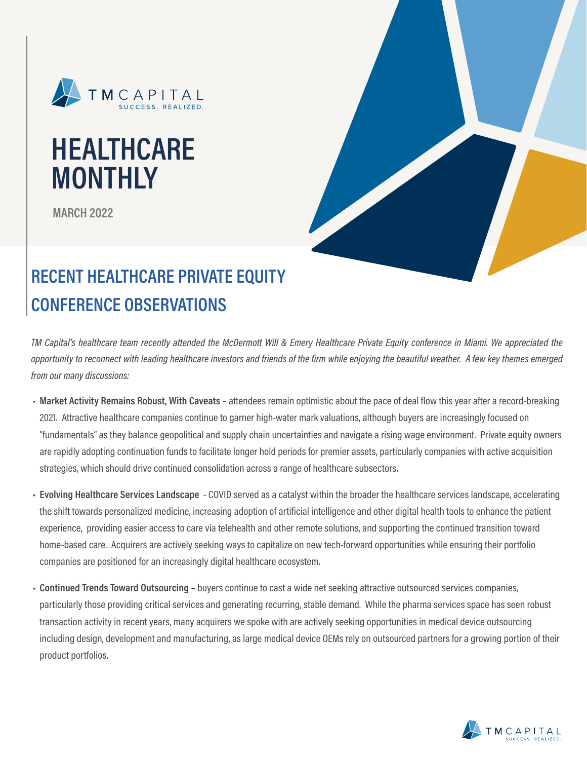

# **HEALTHCARE MONTHLY**

**MARCH 2022**



## **RECENT HEALTHCARE PRIVATE EQUITY CONFERENCE OBSERVATIONS**

*TM Capital's healthcare team recently attended the McDermott Will & Emery Healthcare Private Equity conference in Miami. We appreciated the opportunity to reconnect with leading healthcare investors and friends of the firm while enjoying the beautiful weather. A few key themes emerged from our many discussions:*

- **• Market Activity Remains Robust, With Caveats**  attendees remain optimistic about the pace of deal flow this year after a record-breaking 2021. Attractive healthcare companies continue to garner high-water mark valuations, although buyers are increasingly focused on "fundamentals" as they balance geopolitical and supply chain uncertainties and navigate a rising wage environment. Private equity owners are rapidly adopting continuation funds to facilitate longer hold periods for premier assets, particularly companies with active acquisition strategies, which should drive continued consolidation across a range of healthcare subsectors.
- **• Evolving Healthcare Services Landscape**  COVID served as a catalyst within the broader the healthcare services landscape, accelerating the shift towards personalized medicine, increasing adoption of artificial intelligence and other digital health tools to enhance the patient experience, providing easier access to care via telehealth and other remote solutions, and supporting the continued transition toward home-based care. Acquirers are actively seeking ways to capitalize on new tech-forward opportunities while ensuring their portfolio companies are positioned for an increasingly digital healthcare ecosystem.
- **• Continued Trends Toward Outsourcing**  buyers continue to cast a wide net seeking attractive outsourced services companies, particularly those providing critical services and generating recurring, stable demand. While the pharma services space has seen robust transaction activity in recent years, many acquirers we spoke with are actively seeking opportunities in medical device outsourcing including design, development and manufacturing, as large medical device OEMs rely on outsourced partners for a growing portion of their product portfolios.

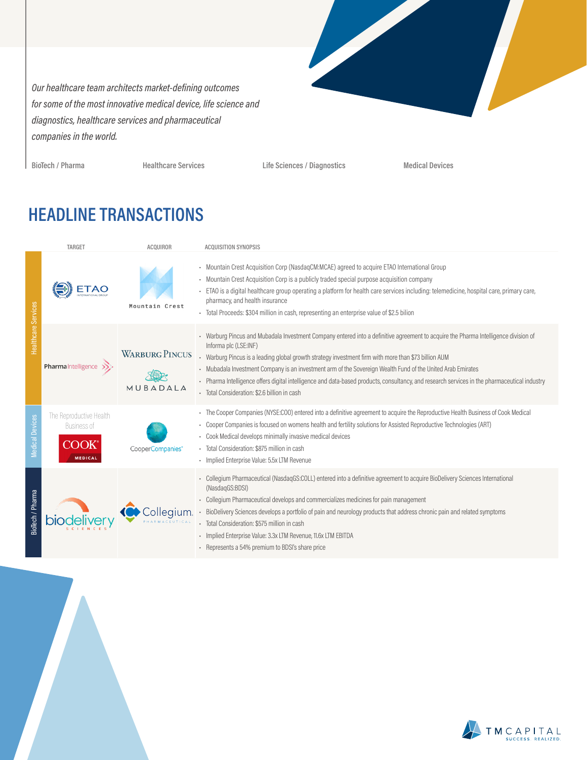*Our healthcare team architects market-defining outcomes for some of the most innovative medical device, life science and diagnostics, healthcare services and pharmaceutical companies in the world.*



**BioTech / Pharma Healthcare Services Life Sciences / Diagnostics Medical Devices**

### **HEADLINE TRANSACTIONS**

|                        | TARGET                                                           | <b>ACQUIROR</b>                   | <b>ACQUISITION SYNOPSIS</b>                                                                                                                                                                                                                                                                                                                                                                                                                                                                                                                                                         |
|------------------------|------------------------------------------------------------------|-----------------------------------|-------------------------------------------------------------------------------------------------------------------------------------------------------------------------------------------------------------------------------------------------------------------------------------------------------------------------------------------------------------------------------------------------------------------------------------------------------------------------------------------------------------------------------------------------------------------------------------|
| Healthcare Services    |                                                                  | Mountain Crest                    | - Mountain Crest Acquisition Corp (NasdagCM:MCAE) agreed to acquire ETAO International Group<br>• Mountain Crest Acquisition Corp is a publicly traded special purpose acquisition company<br>. ETAO is a digital healthcare group operating a platform for health care services including: telemedicine, hospital care, primary care,<br>pharmacy, and health insurance<br>- Total Proceeds: \$304 million in cash, representing an enterprise value of \$2.5 bilion                                                                                                               |
|                        | Pharmalntelligence >>                                            | <b>WARBURG PINCUS</b><br>MUBADALA | - Warburg Pincus and Mubadala Investment Company entered into a definitive agreement to acquire the Pharma Intelligence division of<br>Informa plc (LSE:INF)<br>- Warburg Pincus is a leading global growth strategy investment firm with more than \$73 billion AUM<br>- Mubadala Investment Company is an investment arm of the Sovereign Wealth Fund of the United Arab Emirates<br>- Pharma Intelligence offers digital intelligence and data-based products, consultancy, and research services in the pharmaceutical industry<br>· Total Consideration: \$2.6 billion in cash |
| <b>Medical Devices</b> | The Reproductive Health<br>Business of<br>COOK<br><b>MEDICAL</b> | CooperCompanies*                  | - The Cooper Companies (NYSE:COO) entered into a definitive agreement to acquire the Reproductive Health Business of Cook Medical<br>- Cooper Companies is focused on womens health and fertility solutions for Assisted Reproductive Technologies (ART)<br>- Cook Medical develops minimally invasive medical devices<br>· Total Consideration: \$875 million in cash<br>- Implied Enterprise Value: 5.5x LTM Revenue                                                                                                                                                              |
| BioTech / Pharma       |                                                                  | Collegium.                        | - Collegium Pharmaceutical (NasdaqGS:COLL) entered into a definitive agreement to acquire BioDelivery Sciences International<br>(NasdaqGS:BDSI)<br>- Collegium Pharmaceutical develops and commercializes medicines for pain management<br>- BioDelivery Sciences develops a portfolio of pain and neurology products that address chronic pain and related symptoms<br>· Total Consideration: \$575 million in cash<br>- Implied Enterprise Value: 3.3x LTM Revenue, 11.6x LTM EBITDA<br>- Represents a 54% premium to BDSI's share price                                          |

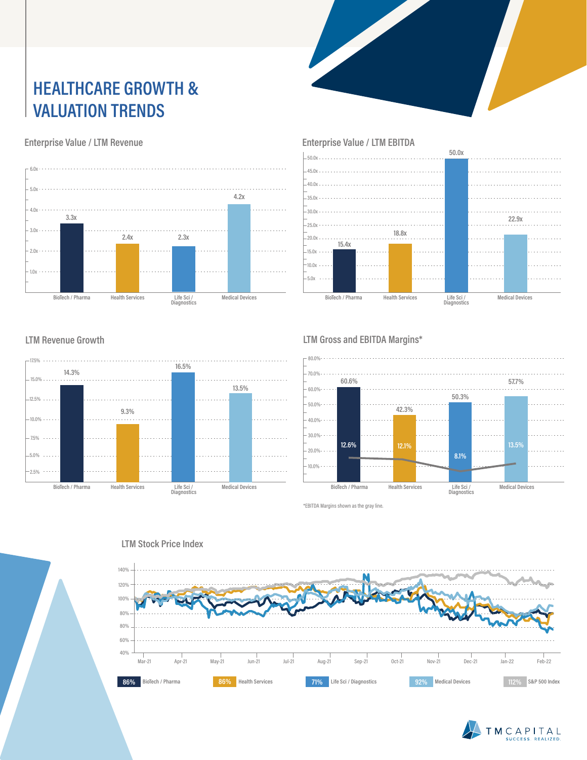### **HEALTHCARE GROWTH & VALUATION TRENDS**

#### **Enterprise Value / LTM Revenue**





### **LTM Revenue Growth**



#### **LTM Gross and EBITDA Margins\***



\*EBITDA Margins shown as the gray line.